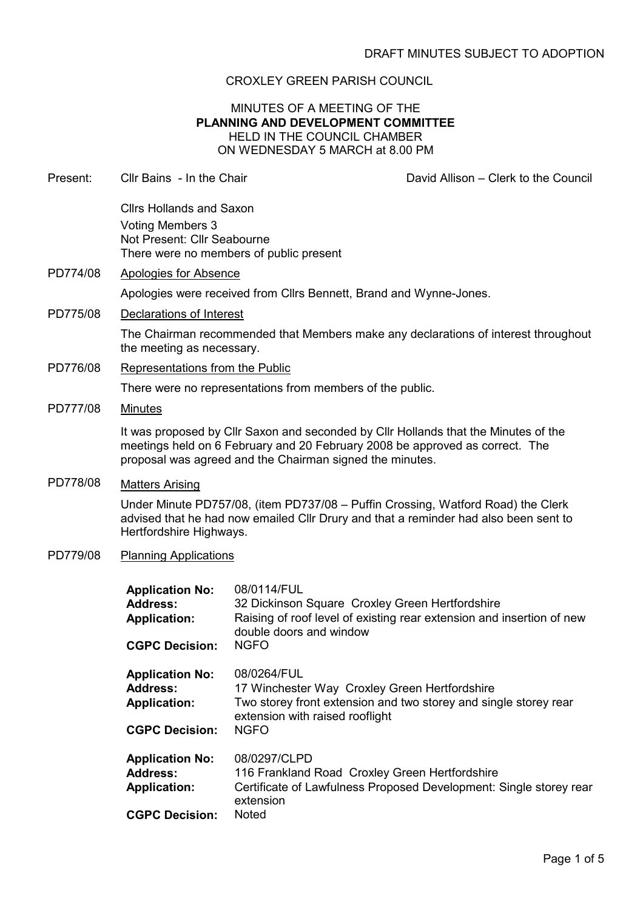## CROXLEY GREEN PARISH COUNCIL

## MINUTES OF A MEETING OF THE PLANNING AND DEVELOPMENT COMMITTEE HELD IN THE COUNCIL CHAMBER ON WEDNESDAY 5 MARCH at 8.00 PM

| Present: | Cllr Bains - In the Chair                                                                                                                                                                                                       |                                                                                                                | David Allison - Clerk to the Council                                               |  |
|----------|---------------------------------------------------------------------------------------------------------------------------------------------------------------------------------------------------------------------------------|----------------------------------------------------------------------------------------------------------------|------------------------------------------------------------------------------------|--|
|          | <b>Clirs Hollands and Saxon</b><br><b>Voting Members 3</b><br>Not Present: Cllr Seabourne                                                                                                                                       | There were no members of public present                                                                        |                                                                                    |  |
| PD774/08 | <b>Apologies for Absence</b>                                                                                                                                                                                                    |                                                                                                                |                                                                                    |  |
|          |                                                                                                                                                                                                                                 | Apologies were received from Cllrs Bennett, Brand and Wynne-Jones.                                             |                                                                                    |  |
| PD775/08 | Declarations of Interest                                                                                                                                                                                                        |                                                                                                                |                                                                                    |  |
|          | the meeting as necessary.                                                                                                                                                                                                       |                                                                                                                | The Chairman recommended that Members make any declarations of interest throughout |  |
| PD776/08 | Representations from the Public                                                                                                                                                                                                 |                                                                                                                |                                                                                    |  |
|          | There were no representations from members of the public.                                                                                                                                                                       |                                                                                                                |                                                                                    |  |
| PD777/08 | <b>Minutes</b>                                                                                                                                                                                                                  |                                                                                                                |                                                                                    |  |
|          | It was proposed by Cllr Saxon and seconded by Cllr Hollands that the Minutes of the<br>meetings held on 6 February and 20 February 2008 be approved as correct. The<br>proposal was agreed and the Chairman signed the minutes. |                                                                                                                |                                                                                    |  |
| PD778/08 | <b>Matters Arising</b><br>Under Minute PD757/08, (item PD737/08 – Puffin Crossing, Watford Road) the Clerk<br>advised that he had now emailed Cllr Drury and that a reminder had also been sent to<br>Hertfordshire Highways.   |                                                                                                                |                                                                                    |  |
| PD779/08 | <b>Planning Applications</b>                                                                                                                                                                                                    |                                                                                                                |                                                                                    |  |
|          | <b>Application No:</b><br><b>Address:</b><br><b>Application:</b><br><b>CGPC Decision:</b>                                                                                                                                       | 08/0114/FUL<br>32 Dickinson Square Croxley Green Hertfordshire<br>double doors and window<br><b>NGFO</b>       | Raising of roof level of existing rear extension and insertion of new              |  |
|          | <b>Application No:</b><br><b>Address:</b><br><b>Application:</b><br><b>CGPC Decision:</b>                                                                                                                                       | 08/0264/FUL<br>17 Winchester Way Croxley Green Hertfordshire<br>extension with raised rooflight<br><b>NGFO</b> | Two storey front extension and two storey and single storey rear                   |  |
|          | <b>Application No:</b><br><b>Address:</b><br><b>Application:</b><br><b>CGPC Decision:</b>                                                                                                                                       | 08/0297/CLPD<br>116 Frankland Road Croxley Green Hertfordshire<br>extension<br>Noted                           | Certificate of Lawfulness Proposed Development: Single storey rear                 |  |
|          |                                                                                                                                                                                                                                 |                                                                                                                |                                                                                    |  |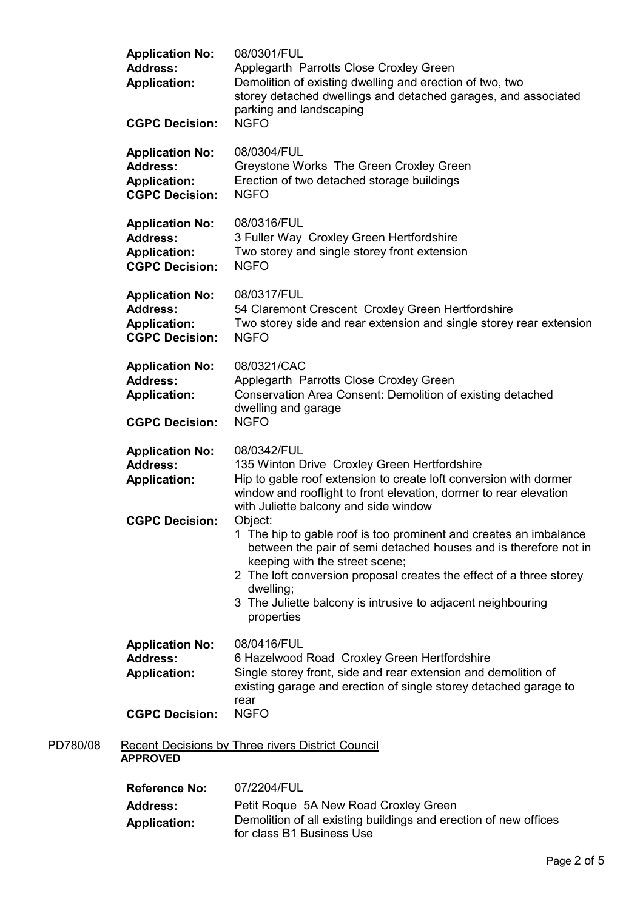|          | <b>Application No:</b><br><b>Address:</b><br><b>Application:</b><br><b>CGPC Decision:</b> | 08/0301/FUL<br>Applegarth Parrotts Close Croxley Green<br>Demolition of existing dwelling and erection of two, two<br>storey detached dwellings and detached garages, and associated<br>parking and landscaping<br><b>NGFO</b>                                                                                                                       |
|----------|-------------------------------------------------------------------------------------------|------------------------------------------------------------------------------------------------------------------------------------------------------------------------------------------------------------------------------------------------------------------------------------------------------------------------------------------------------|
|          | <b>Application No:</b><br><b>Address:</b><br><b>Application:</b><br><b>CGPC Decision:</b> | 08/0304/FUL<br>Greystone Works The Green Croxley Green<br>Erection of two detached storage buildings<br><b>NGFO</b>                                                                                                                                                                                                                                  |
|          | <b>Application No:</b><br><b>Address:</b><br><b>Application:</b><br><b>CGPC Decision:</b> | 08/0316/FUL<br>3 Fuller Way Croxley Green Hertfordshire<br>Two storey and single storey front extension<br><b>NGFO</b>                                                                                                                                                                                                                               |
|          | <b>Application No:</b><br><b>Address:</b><br><b>Application:</b><br><b>CGPC Decision:</b> | 08/0317/FUL<br>54 Claremont Crescent Croxley Green Hertfordshire<br>Two storey side and rear extension and single storey rear extension<br><b>NGFO</b>                                                                                                                                                                                               |
|          | <b>Application No:</b><br><b>Address:</b><br><b>Application:</b><br><b>CGPC Decision:</b> | 08/0321/CAC<br>Applegarth Parrotts Close Croxley Green<br>Conservation Area Consent: Demolition of existing detached<br>dwelling and garage<br><b>NGFO</b>                                                                                                                                                                                           |
|          | <b>Application No:</b><br><b>Address:</b><br><b>Application:</b>                          | 08/0342/FUL<br>135 Winton Drive Croxley Green Hertfordshire<br>Hip to gable roof extension to create loft conversion with dormer<br>window and rooflight to front elevation, dormer to rear elevation<br>with Juliette balcony and side window                                                                                                       |
|          | <b>CGPC Decision:</b>                                                                     | Object:<br>1 The hip to gable roof is too prominent and creates an imbalance<br>between the pair of semi detached houses and is therefore not in<br>keeping with the street scene;<br>2 The loft conversion proposal creates the effect of a three storey<br>dwelling;<br>3 The Juliette balcony is intrusive to adjacent neighbouring<br>properties |
|          | <b>Application No:</b><br><b>Address:</b><br><b>Application:</b>                          | 08/0416/FUL<br>6 Hazelwood Road Croxley Green Hertfordshire<br>Single storey front, side and rear extension and demolition of<br>existing garage and erection of single storey detached garage to<br>rear                                                                                                                                            |
|          | <b>CGPC Decision:</b>                                                                     | <b>NGFO</b>                                                                                                                                                                                                                                                                                                                                          |
| PD780/08 | <b>APPROVED</b>                                                                           | <b>Recent Decisions by Three rivers District Council</b>                                                                                                                                                                                                                                                                                             |
|          | <b>Reference No:</b>                                                                      | 07/2204/FUL                                                                                                                                                                                                                                                                                                                                          |
|          | <b>Address:</b>                                                                           | Petit Roque 5A New Road Croxley Green                                                                                                                                                                                                                                                                                                                |

Application: Demolition of all existing buildings and erection of new offices for class B1 Business Use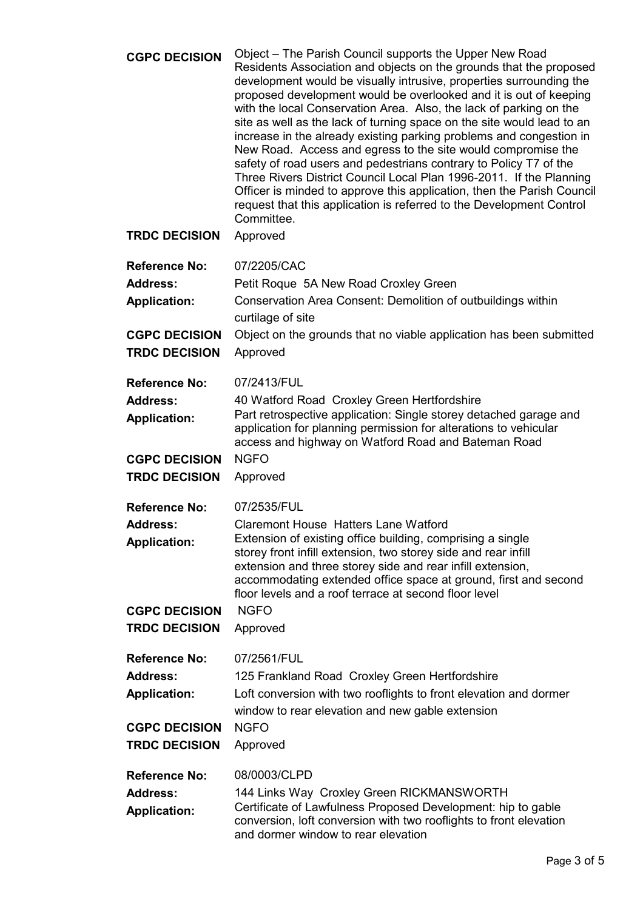| <b>CGPC DECISION</b> | Object – The Parish Council supports the Upper New Road<br>Residents Association and objects on the grounds that the proposed<br>development would be visually intrusive, properties surrounding the<br>proposed development would be overlooked and it is out of keeping<br>with the local Conservation Area. Also, the lack of parking on the<br>site as well as the lack of turning space on the site would lead to an<br>increase in the already existing parking problems and congestion in<br>New Road. Access and egress to the site would compromise the<br>safety of road users and pedestrians contrary to Policy T7 of the<br>Three Rivers District Council Local Plan 1996-2011. If the Planning<br>Officer is minded to approve this application, then the Parish Council<br>request that this application is referred to the Development Control<br>Committee. |
|----------------------|------------------------------------------------------------------------------------------------------------------------------------------------------------------------------------------------------------------------------------------------------------------------------------------------------------------------------------------------------------------------------------------------------------------------------------------------------------------------------------------------------------------------------------------------------------------------------------------------------------------------------------------------------------------------------------------------------------------------------------------------------------------------------------------------------------------------------------------------------------------------------|
| <b>TRDC DECISION</b> | Approved                                                                                                                                                                                                                                                                                                                                                                                                                                                                                                                                                                                                                                                                                                                                                                                                                                                                     |
| <b>Reference No:</b> | 07/2205/CAC                                                                                                                                                                                                                                                                                                                                                                                                                                                                                                                                                                                                                                                                                                                                                                                                                                                                  |
| <b>Address:</b>      | Petit Roque 5A New Road Croxley Green                                                                                                                                                                                                                                                                                                                                                                                                                                                                                                                                                                                                                                                                                                                                                                                                                                        |
| <b>Application:</b>  | Conservation Area Consent: Demolition of outbuildings within<br>curtilage of site                                                                                                                                                                                                                                                                                                                                                                                                                                                                                                                                                                                                                                                                                                                                                                                            |
| <b>CGPC DECISION</b> | Object on the grounds that no viable application has been submitted                                                                                                                                                                                                                                                                                                                                                                                                                                                                                                                                                                                                                                                                                                                                                                                                          |
| <b>TRDC DECISION</b> | Approved                                                                                                                                                                                                                                                                                                                                                                                                                                                                                                                                                                                                                                                                                                                                                                                                                                                                     |
| <b>Reference No:</b> | 07/2413/FUL                                                                                                                                                                                                                                                                                                                                                                                                                                                                                                                                                                                                                                                                                                                                                                                                                                                                  |
| <b>Address:</b>      | 40 Watford Road Croxley Green Hertfordshire                                                                                                                                                                                                                                                                                                                                                                                                                                                                                                                                                                                                                                                                                                                                                                                                                                  |
| <b>Application:</b>  | Part retrospective application: Single storey detached garage and<br>application for planning permission for alterations to vehicular<br>access and highway on Watford Road and Bateman Road                                                                                                                                                                                                                                                                                                                                                                                                                                                                                                                                                                                                                                                                                 |
| <b>CGPC DECISION</b> | <b>NGFO</b>                                                                                                                                                                                                                                                                                                                                                                                                                                                                                                                                                                                                                                                                                                                                                                                                                                                                  |
| <b>TRDC DECISION</b> | Approved                                                                                                                                                                                                                                                                                                                                                                                                                                                                                                                                                                                                                                                                                                                                                                                                                                                                     |
| <b>Reference No:</b> | 07/2535/FUL                                                                                                                                                                                                                                                                                                                                                                                                                                                                                                                                                                                                                                                                                                                                                                                                                                                                  |
| <b>Address:</b>      | <b>Claremont House Hatters Lane Watford</b>                                                                                                                                                                                                                                                                                                                                                                                                                                                                                                                                                                                                                                                                                                                                                                                                                                  |
| <b>Application:</b>  | Extension of existing office building, comprising a single<br>storey front infill extension, two storey side and rear infill<br>extension and three storey side and rear infill extension,<br>accommodating extended office space at ground, first and second<br>floor levels and a roof terrace at second floor level                                                                                                                                                                                                                                                                                                                                                                                                                                                                                                                                                       |
| <b>CGPC DECISION</b> | <b>NGFO</b>                                                                                                                                                                                                                                                                                                                                                                                                                                                                                                                                                                                                                                                                                                                                                                                                                                                                  |
| <b>TRDC DECISION</b> | Approved                                                                                                                                                                                                                                                                                                                                                                                                                                                                                                                                                                                                                                                                                                                                                                                                                                                                     |
| <b>Reference No:</b> | 07/2561/FUL                                                                                                                                                                                                                                                                                                                                                                                                                                                                                                                                                                                                                                                                                                                                                                                                                                                                  |
| <b>Address:</b>      | 125 Frankland Road Croxley Green Hertfordshire                                                                                                                                                                                                                                                                                                                                                                                                                                                                                                                                                                                                                                                                                                                                                                                                                               |
| <b>Application:</b>  | Loft conversion with two rooflights to front elevation and dormer                                                                                                                                                                                                                                                                                                                                                                                                                                                                                                                                                                                                                                                                                                                                                                                                            |
|                      | window to rear elevation and new gable extension                                                                                                                                                                                                                                                                                                                                                                                                                                                                                                                                                                                                                                                                                                                                                                                                                             |
| <b>CGPC DECISION</b> | <b>NGFO</b>                                                                                                                                                                                                                                                                                                                                                                                                                                                                                                                                                                                                                                                                                                                                                                                                                                                                  |
| <b>TRDC DECISION</b> | Approved                                                                                                                                                                                                                                                                                                                                                                                                                                                                                                                                                                                                                                                                                                                                                                                                                                                                     |
| <b>Reference No:</b> | 08/0003/CLPD                                                                                                                                                                                                                                                                                                                                                                                                                                                                                                                                                                                                                                                                                                                                                                                                                                                                 |
| <b>Address:</b>      | 144 Links Way Croxley Green RICKMANSWORTH                                                                                                                                                                                                                                                                                                                                                                                                                                                                                                                                                                                                                                                                                                                                                                                                                                    |
| <b>Application:</b>  | Certificate of Lawfulness Proposed Development: hip to gable                                                                                                                                                                                                                                                                                                                                                                                                                                                                                                                                                                                                                                                                                                                                                                                                                 |
|                      | conversion, loft conversion with two rooflights to front elevation<br>and dormer window to rear elevation                                                                                                                                                                                                                                                                                                                                                                                                                                                                                                                                                                                                                                                                                                                                                                    |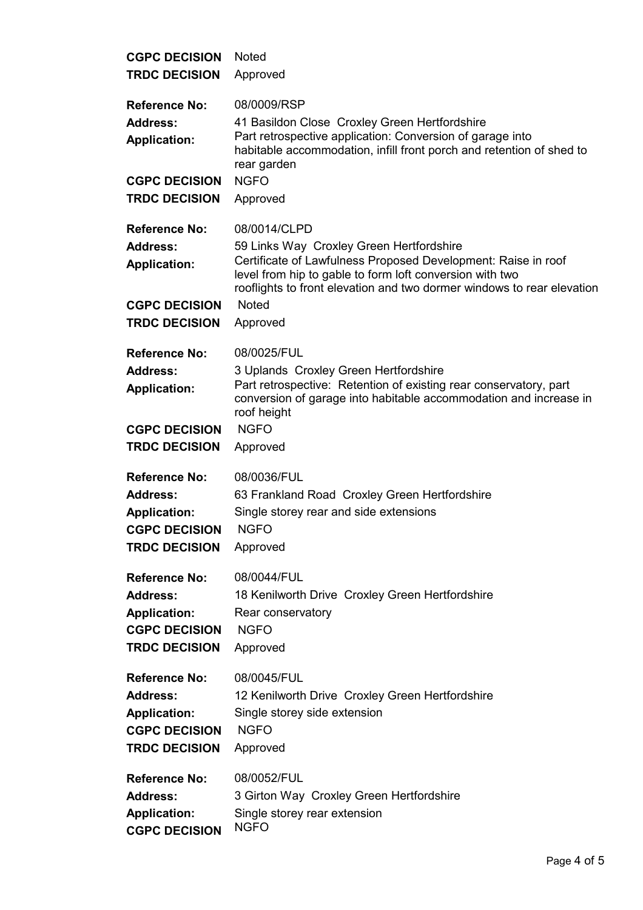| <b>CGPC DECISION</b>                                                                   | <b>Noted</b>                                                                                                                                                                                                                                                    |  |
|----------------------------------------------------------------------------------------|-----------------------------------------------------------------------------------------------------------------------------------------------------------------------------------------------------------------------------------------------------------------|--|
| <b>TRDC DECISION</b>                                                                   | Approved                                                                                                                                                                                                                                                        |  |
| <b>Reference No:</b><br><b>Address:</b><br><b>Application:</b><br><b>CGPC DECISION</b> | 08/0009/RSP<br>41 Basildon Close Croxley Green Hertfordshire<br>Part retrospective application: Conversion of garage into<br>habitable accommodation, infill front porch and retention of shed to<br>rear garden<br><b>NGFO</b>                                 |  |
| <b>TRDC DECISION</b>                                                                   | Approved                                                                                                                                                                                                                                                        |  |
| <b>Reference No:</b><br><b>Address:</b><br><b>Application:</b>                         | 08/0014/CLPD<br>59 Links Way Croxley Green Hertfordshire<br>Certificate of Lawfulness Proposed Development: Raise in roof<br>level from hip to gable to form loft conversion with two<br>rooflights to front elevation and two dormer windows to rear elevation |  |
| <b>CGPC DECISION</b>                                                                   | <b>Noted</b>                                                                                                                                                                                                                                                    |  |
| <b>TRDC DECISION</b>                                                                   | Approved                                                                                                                                                                                                                                                        |  |
| <b>Reference No:</b><br><b>Address:</b><br><b>Application:</b>                         | 08/0025/FUL<br>3 Uplands Croxley Green Hertfordshire<br>Part retrospective: Retention of existing rear conservatory, part<br>conversion of garage into habitable accommodation and increase in<br>roof height                                                   |  |
| <b>CGPC DECISION</b>                                                                   | <b>NGFO</b>                                                                                                                                                                                                                                                     |  |
| <b>TRDC DECISION</b>                                                                   | Approved                                                                                                                                                                                                                                                        |  |
| <b>Reference No:</b>                                                                   | 08/0036/FUL                                                                                                                                                                                                                                                     |  |
| <b>Address:</b>                                                                        | 63 Frankland Road Croxley Green Hertfordshire                                                                                                                                                                                                                   |  |
| <b>Application:</b>                                                                    | Single storey rear and side extensions                                                                                                                                                                                                                          |  |
| <b>CGPC DECISION</b>                                                                   | <b>NGFO</b>                                                                                                                                                                                                                                                     |  |
| <b>TRDC DECISION</b>                                                                   | Approved                                                                                                                                                                                                                                                        |  |
| <b>Reference No:</b>                                                                   | 08/0044/FUL                                                                                                                                                                                                                                                     |  |
| <b>Address:</b>                                                                        | 18 Kenilworth Drive Croxley Green Hertfordshire                                                                                                                                                                                                                 |  |
| <b>Application:</b>                                                                    | Rear conservatory                                                                                                                                                                                                                                               |  |
| <b>CGPC DECISION</b>                                                                   | <b>NGFO</b>                                                                                                                                                                                                                                                     |  |
| <b>TRDC DECISION</b>                                                                   | Approved                                                                                                                                                                                                                                                        |  |
| <b>Reference No:</b>                                                                   | 08/0045/FUL                                                                                                                                                                                                                                                     |  |
| <b>Address:</b>                                                                        | 12 Kenilworth Drive Croxley Green Hertfordshire                                                                                                                                                                                                                 |  |
| <b>Application:</b>                                                                    | Single storey side extension                                                                                                                                                                                                                                    |  |
| <b>CGPC DECISION</b>                                                                   | <b>NGFO</b>                                                                                                                                                                                                                                                     |  |
| <b>TRDC DECISION</b>                                                                   | Approved                                                                                                                                                                                                                                                        |  |
| <b>Reference No:</b>                                                                   | 08/0052/FUL                                                                                                                                                                                                                                                     |  |
| <b>Address:</b>                                                                        | 3 Girton Way Croxley Green Hertfordshire                                                                                                                                                                                                                        |  |
| <b>Application:</b>                                                                    | Single storey rear extension                                                                                                                                                                                                                                    |  |
| <b>CGPC DECISION</b>                                                                   | <b>NGFO</b>                                                                                                                                                                                                                                                     |  |